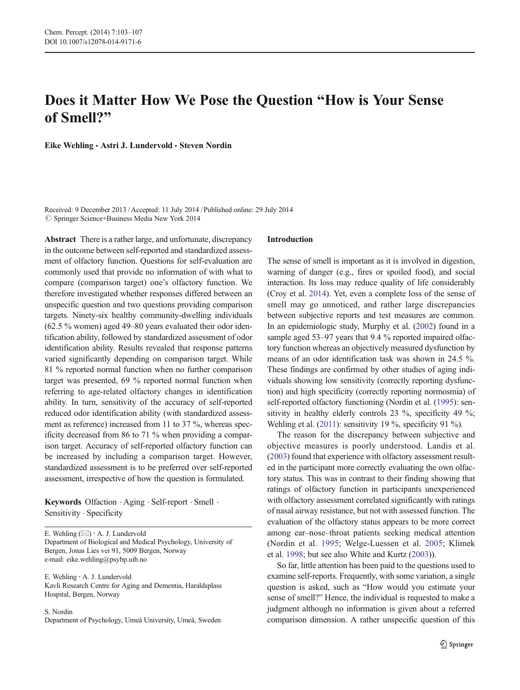# Does it Matter How We Pose the Question "How is Your Sense of Smell?"

Eike Wehling · Astri J. Lundervold · Steven Nordin

Received: 9 December 2013 /Accepted: 11 July 2014 / Published online: 29 July 2014  $\circled{c}$  Springer Science+Business Media New York 2014

Abstract There is a rather large, and unfortunate, discrepancy in the outcome between self-reported and standardized assessment of olfactory function. Questions for self-evaluation are commonly used that provide no information of with what to compare (comparison target) one's olfactory function. We therefore investigated whether responses differed between an unspecific question and two questions providing comparison targets. Ninety-six healthy community-dwelling individuals (62.5 % women) aged 49–80 years evaluated their odor identification ability, followed by standardized assessment of odor identification ability. Results revealed that response patterns varied significantly depending on comparison target. While 81 % reported normal function when no further comparison target was presented, 69 % reported normal function when referring to age-related olfactory changes in identification ability. In turn, sensitivity of the accuracy of self-reported reduced odor identification ability (with standardized assessment as reference) increased from 11 to 37 %, whereas specificity decreased from 86 to 71 % when providing a comparison target. Accuracy of self-reported olfactory function can be increased by including a comparison target. However, standardized assessment is to be preferred over self-reported assessment, irrespective of how the question is formulated.

Keywords Olfaction . Aging . Self-report . Smell . Sensitivity · Specificity

E. Wehling  $(\boxtimes) \cdot A$ . J. Lundervold Department of Biological and Medical Psychology, University of Bergen, Jonas Lies vei 91, 5009 Bergen, Norway e-mail: eike.wehling@psybp.uib.no

E. Wehling : A. J. Lundervold Kavli Research Centre for Aging and Dementia, Haraldsplass Hospital, Bergen, Norway

S. Nordin Department of Psychology, Umeå University, Umeå, Sweden

## Introduction

The sense of smell is important as it is involved in digestion, warning of danger (e.g., fires or spoiled food), and social interaction. Its loss may reduce quality of life considerably (Croy et al. [2014\)](#page-4-0). Yet, even a complete loss of the sense of smell may go unnoticed, and rather large discrepancies between subjective reports and test measures are common. In an epidemiologic study, Murphy et al. ([2002](#page-4-0)) found in a sample aged 53–97 years that 9.4 % reported impaired olfactory function whereas an objectively measured dysfunction by means of an odor identification task was shown in 24.5 %. These findings are confirmed by other studies of aging individuals showing low sensitivity (correctly reporting dysfunction) and high specificity (correctly reporting normosmia) of self-reported olfactory functioning (Nordin et al. [\(1995\)](#page-4-0): sensitivity in healthy elderly controls 23 %, specificity 49 %; Wehling et al. [\(2011](#page-4-0)): sensitivity 19 %, specificity 91 %).

The reason for the discrepancy between subjective and objective measures is poorly understood. Landis et al. [\(2003\)](#page-4-0) found that experience with olfactory assessment resulted in the participant more correctly evaluating the own olfactory status. This was in contrast to their finding showing that ratings of olfactory function in participants unexperienced with olfactory assessment correlated significantly with ratings of nasal airway resistance, but not with assessed function. The evaluation of the olfactory status appears to be more correct among ear–nose–throat patients seeking medical attention (Nordin et al. [1995](#page-4-0); Welge-Luessen et al. [2005](#page-4-0); Klimek et al. [1998](#page-4-0); but see also White and Kurtz ([2003](#page-4-0))).

So far, little attention has been paid to the questions used to examine self-reports. Frequently, with some variation, a single question is asked, such as "How would you estimate your sense of smell?" Hence, the individual is requested to make a judgment although no information is given about a referred comparison dimension. A rather unspecific question of this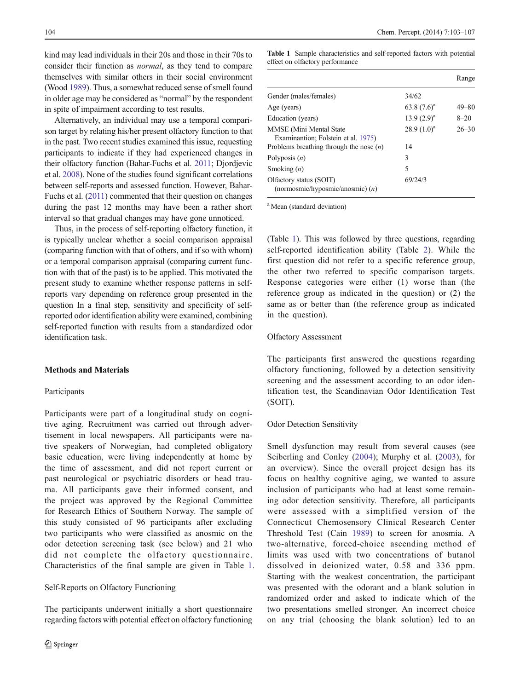kind may lead individuals in their 20s and those in their 70s to consider their function as normal, as they tend to compare themselves with similar others in their social environment (Wood [1989\)](#page-4-0). Thus, a somewhat reduced sense of smell found in older age may be considered as "normal" by the respondent in spite of impairment according to test results.

Alternatively, an individual may use a temporal comparison target by relating his/her present olfactory function to that in the past. Two recent studies examined this issue, requesting participants to indicate if they had experienced changes in their olfactory function (Bahar-Fuchs et al. [2011](#page-4-0); Djordjevic et al. [2008](#page-4-0)). None of the studies found significant correlations between self-reports and assessed function. However, Bahar-Fuchs et al. ([2011](#page-4-0)) commented that their question on changes during the past 12 months may have been a rather short interval so that gradual changes may have gone unnoticed.

Thus, in the process of self-reporting olfactory function, it is typically unclear whether a social comparison appraisal (comparing function with that of others, and if so with whom) or a temporal comparison appraisal (comparing current function with that of the past) is to be applied. This motivated the present study to examine whether response patterns in selfreports vary depending on reference group presented in the question In a final step, sensitivity and specificity of selfreported odor identification ability were examined, combining self-reported function with results from a standardized odor identification task.

### Methods and Materials

#### Participants

Participants were part of a longitudinal study on cognitive aging. Recruitment was carried out through advertisement in local newspapers. All participants were native speakers of Norwegian, had completed obligatory basic education, were living independently at home by the time of assessment, and did not report current or past neurological or psychiatric disorders or head trauma. All participants gave their informed consent, and the project was approved by the Regional Committee for Research Ethics of Southern Norway. The sample of this study consisted of 96 participants after excluding two participants who were classified as anosmic on the odor detection screening task (see below) and 21 who did not complete the olfactory questionnaire. Characteristics of the final sample are given in Table 1.

# Self-Reports on Olfactory Functioning

The participants underwent initially a short questionnaire regarding factors with potential effect on olfactory functioning

Table 1 Sample characteristics and self-reported factors with potential effect on olfactory performance

|                                                                                                             |                     | Range     |
|-------------------------------------------------------------------------------------------------------------|---------------------|-----------|
| Gender (males/females)                                                                                      | 34/62               |           |
| Age (years)                                                                                                 | 63.8 $(7.6)^a$      | $49 - 80$ |
| Education (years)                                                                                           | 13.9 $(2.9)^a$      | $8 - 20$  |
| MMSE (Mini Mental State<br>Examinantion; Folstein et al. 1975)<br>Problems breathing through the nose $(n)$ | $28.9(1.0)^a$<br>14 | $26 - 30$ |
| Polyposis $(n)$                                                                                             | 3                   |           |
| Smoking $(n)$                                                                                               | 5                   |           |
| Olfactory status (SOIT)<br>(normosmic/hyposmic/anosmic) $(n)$                                               | 69/24/3             |           |

<sup>a</sup> Mean (standard deviation)

(Table 1). This was followed by three questions, regarding self-reported identification ability (Table [2](#page-2-0)). While the first question did not refer to a specific reference group, the other two referred to specific comparison targets. Response categories were either (1) worse than (the reference group as indicated in the question) or (2) the same as or better than (the reference group as indicated in the question).

#### Olfactory Assessment

The participants first answered the questions regarding olfactory functioning, followed by a detection sensitivity screening and the assessment according to an odor identification test, the Scandinavian Odor Identification Test (SOIT).

#### Odor Detection Sensitivity

Smell dysfunction may result from several causes (see Seiberling and Conley ([2004](#page-4-0)); Murphy et al. [\(2003\)](#page-4-0), for an overview). Since the overall project design has its focus on healthy cognitive aging, we wanted to assure inclusion of participants who had at least some remaining odor detection sensitivity. Therefore, all participants were assessed with a simplified version of the Connecticut Chemosensory Clinical Research Center Threshold Test (Cain [1989\)](#page-4-0) to screen for anosmia. A two-alternative, forced-choice ascending method of limits was used with two concentrations of butanol dissolved in deionized water, 0.58 and 336 ppm. Starting with the weakest concentration, the participant was presented with the odorant and a blank solution in randomized order and asked to indicate which of the two presentations smelled stronger. An incorrect choice on any trial (choosing the blank solution) led to an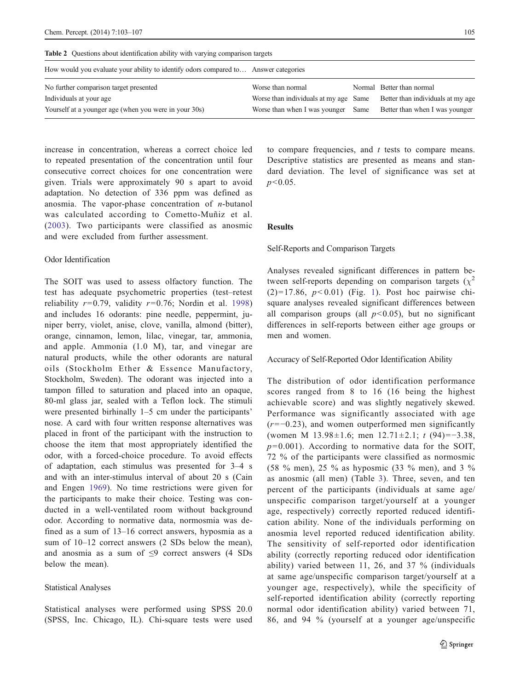| $\mathbf{r}$ and $\mathbf{r}$ are a controlled the controlled of $\mathbf{r}$ and $\mathbf{r}$ and $\mathbf{r}$ and $\mathbf{r}$ and $\mathbf{r}$ and $\mathbf{r}$ |                                       |  |                                   |  |  |  |  |
|--------------------------------------------------------------------------------------------------------------------------------------------------------------------|---------------------------------------|--|-----------------------------------|--|--|--|--|
| How would you evaluate your ability to identify odors compared to Answer categories                                                                                |                                       |  |                                   |  |  |  |  |
| No further comparison target presented                                                                                                                             | Worse than normal                     |  | Normal Better than normal         |  |  |  |  |
| Individuals at your age                                                                                                                                            | Worse than individuals at my age Same |  | Better than individuals at my age |  |  |  |  |
| Yourself at a younger age (when you were in your 30s)                                                                                                              | Worse than when I was younger Same    |  | Better than when I was younger    |  |  |  |  |

<span id="page-2-0"></span>Table 2 Ouestions about identification ability with varying comparison targets

increase in concentration, whereas a correct choice led to repeated presentation of the concentration until four consecutive correct choices for one concentration were given. Trials were approximately 90 s apart to avoid adaptation. No detection of 336 ppm was defined as anosmia. The vapor-phase concentration of  $n$ -butanol was calculated according to Cometto-Muñiz et al. [\(2003\)](#page-4-0). Two participants were classified as anosmic and were excluded from further assessment.

## Odor Identification

The SOIT was used to assess olfactory function. The test has adequate psychometric properties (test–retest reliability  $r=0.79$ , validity  $r=0.76$ ; Nordin et al. [1998\)](#page-4-0) and includes 16 odorants: pine needle, peppermint, juniper berry, violet, anise, clove, vanilla, almond (bitter), orange, cinnamon, lemon, lilac, vinegar, tar, ammonia, and apple. Ammonia (1.0 M), tar, and vinegar are natural products, while the other odorants are natural oils (Stockholm Ether & Essence Manufactory, Stockholm, Sweden). The odorant was injected into a tampon filled to saturation and placed into an opaque, 80-ml glass jar, sealed with a Teflon lock. The stimuli were presented birhinally 1–5 cm under the participants' nose. A card with four written response alternatives was placed in front of the participant with the instruction to choose the item that most appropriately identified the odor, with a forced-choice procedure. To avoid effects of adaptation, each stimulus was presented for 3–4 s and with an inter-stimulus interval of about 20 s (Cain and Engen [1969\)](#page-4-0). No time restrictions were given for the participants to make their choice. Testing was conducted in a well-ventilated room without background odor. According to normative data, normosmia was defined as a sum of 13–16 correct answers, hyposmia as a sum of  $10-12$  correct answers (2 SDs below the mean), and anosmia as a sum of  $\leq$ 9 correct answers (4 SDs below the mean).

## Statistical Analyses

Statistical analyses were performed using SPSS 20.0 (SPSS, Inc. Chicago, IL). Chi-square tests were used to compare frequencies, and t tests to compare means. Descriptive statistics are presented as means and standard deviation. The level of significance was set at  $p<0.05$ .

## Results

## Self-Reports and Comparison Targets

Analyses revealed significant differences in pattern between self-reports depending on comparison targets ( $\chi^2$  $(2)=17.86, p<0.01$  $(2)=17.86, p<0.01$  $(2)=17.86, p<0.01$  (Fig. 1). Post hoc pairwise chisquare analyses revealed significant differences between all comparison groups (all  $p<0.05$ ), but no significant differences in self-reports between either age groups or men and women.

Accuracy of Self-Reported Odor Identification Ability

The distribution of odor identification performance scores ranged from 8 to 16 (16 being the highest achievable score) and was slightly negatively skewed. Performance was significantly associated with age  $(r=-0.23)$ , and women outperformed men significantly (women M 13.98±1.6; men 12.71±2.1; t (94)=−3.38,  $p= 0.001$ ). According to normative data for the SOIT, 72 % of the participants were classified as normosmic (58 % men), 25 % as hyposmic (33 % men), and 3 % as anosmic (all men) (Table [3\)](#page-3-0). Three, seven, and ten percent of the participants (individuals at same age/ unspecific comparison target/yourself at a younger age, respectively) correctly reported reduced identification ability. None of the individuals performing on anosmia level reported reduced identification ability. The sensitivity of self-reported odor identification ability (correctly reporting reduced odor identification ability) varied between 11, 26, and 37 % (individuals at same age/unspecific comparison target/yourself at a younger age, respectively), while the specificity of self-reported identification ability (correctly reporting normal odor identification ability) varied between 71, 86, and 94 % (yourself at a younger age/unspecific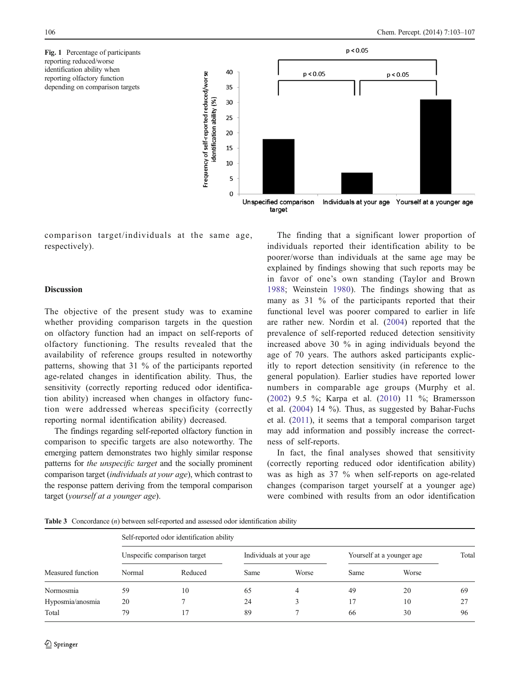<span id="page-3-0"></span>Fig. 1 Percentage of participants reporting reduced/worse identification ability when reporting olfactory function depending on comparison targets



comparison target/individuals at the same age, respectively).

## **Discussion**

The objective of the present study was to examine whether providing comparison targets in the question on olfactory function had an impact on self-reports of olfactory functioning. The results revealed that the availability of reference groups resulted in noteworthy patterns, showing that 31 % of the participants reported age-related changes in identification ability. Thus, the sensitivity (correctly reporting reduced odor identification ability) increased when changes in olfactory function were addressed whereas specificity (correctly reporting normal identification ability) decreased.

The findings regarding self-reported olfactory function in comparison to specific targets are also noteworthy. The emerging pattern demonstrates two highly similar response patterns for the unspecific target and the socially prominent comparison target (individuals at your age), which contrast to the response pattern deriving from the temporal comparison target (yourself at a younger age).

The finding that a significant lower proportion of individuals reported their identification ability to be poorer/worse than individuals at the same age may be explained by findings showing that such reports may be in favor of one's own standing (Taylor and Brown [1988](#page-4-0); Weinstein [1980\)](#page-4-0). The findings showing that as many as 31 % of the participants reported that their functional level was poorer compared to earlier in life are rather new. Nordin et al. ([2004](#page-4-0)) reported that the prevalence of self-reported reduced detection sensitivity increased above 30 % in aging individuals beyond the age of 70 years. The authors asked participants explicitly to report detection sensitivity (in reference to the general population). Earlier studies have reported lower numbers in comparable age groups (Murphy et al. [\(2002\)](#page-4-0) 9.5 %; Karpa et al. ([2010](#page-4-0)) 11 %; Bramersson et al. ([2004](#page-4-0)) 14 %). Thus, as suggested by Bahar-Fuchs et al. ([2011\)](#page-4-0), it seems that a temporal comparison target may add information and possibly increase the correctness of self-reports.

In fact, the final analyses showed that sensitivity (correctly reporting reduced odor identification ability) was as high as 37 % when self-reports on age-related changes (comparison target yourself at a younger age) were combined with results from an odor identification

Table 3 Concordance (n) between self-reported and assessed odor identification ability

| Measured function | Self-reported odor identification ability |         |                         |       |                           |       |       |
|-------------------|-------------------------------------------|---------|-------------------------|-------|---------------------------|-------|-------|
|                   | Unspecific comparison target              |         | Individuals at your age |       | Yourself at a younger age |       | Total |
|                   | Normal                                    | Reduced | Same                    | Worse | Same                      | Worse |       |
| Normosmia         | 59                                        | 10      | 65                      | 4     | 49                        | 20    | 69    |
| Hyposmia/anosmia  | 20                                        |         | 24                      |       | 17                        | 10    | 27    |
| Total             | 79                                        | 17      | 89                      |       | 66                        | 30    | 96    |